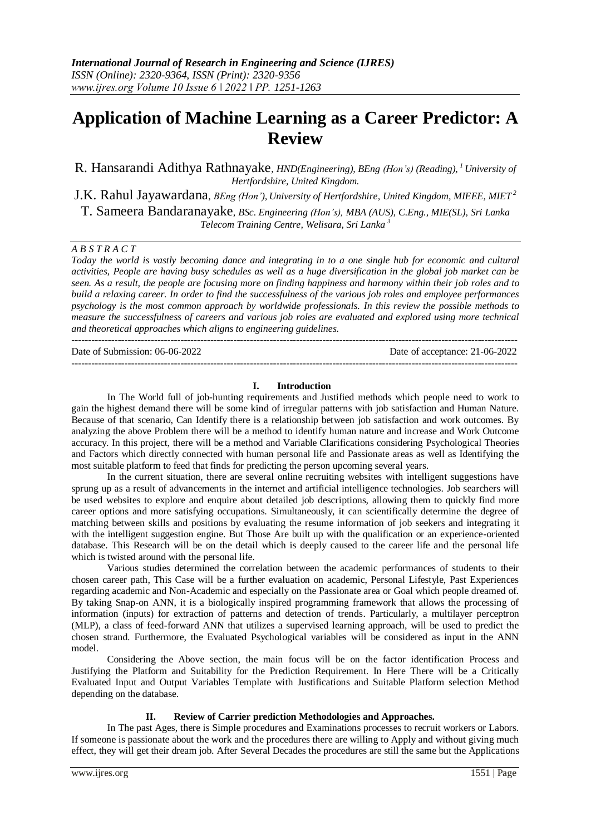# **Application of Machine Learning as a Career Predictor: A Review**

R. Hansarandi Adithya Rathnayake, *HND(Engineering), BEng (Hon's) (Reading), <sup>1</sup>University of Hertfordshire, United Kingdom.*

J.K. Rahul Jayawardana, *BEng (Hon'), University of Hertfordshire, United Kingdom, MIEEE, MIET <sup>2</sup>*

T. Sameera Bandaranayake, *BSc. Engineering (Hon's), MBA (AUS), C.Eng., MIE(SL), Sri Lanka Telecom Training Centre, Welisara, Sri Lanka <sup>3</sup>*

# *A B S T R A C T*

*Today the world is vastly becoming dance and integrating in to a one single hub for economic and cultural activities, People are having busy schedules as well as a huge diversification in the global job market can be seen. As a result, the people are focusing more on finding happiness and harmony within their job roles and to build a relaxing career. In order to find the successfulness of the various job roles and employee performances psychology is the most common approach by worldwide professionals. In this review the possible methods to measure the successfulness of careers and various job roles are evaluated and explored using more technical and theoretical approaches which aligns to engineering guidelines.*

--------------------------------------------------------------------------------------------------------------------------------------- Date of Submission: 06-06-2022 Date of acceptance: 21-06-2022 ---------------------------------------------------------------------------------------------------------------------------------------

#### **I. Introduction**

In The World full of job-hunting requirements and Justified methods which people need to work to gain the highest demand there will be some kind of irregular patterns with job satisfaction and Human Nature. Because of that scenario, Can Identify there is a relationship between job satisfaction and work outcomes. By analyzing the above Problem there will be a method to identify human nature and increase and Work Outcome accuracy. In this project, there will be a method and Variable Clarifications considering Psychological Theories and Factors which directly connected with human personal life and Passionate areas as well as Identifying the most suitable platform to feed that finds for predicting the person upcoming several years.

In the current situation, there are several online recruiting websites with intelligent suggestions have sprung up as a result of advancements in the internet and artificial intelligence technologies. Job searchers will be used websites to explore and enquire about detailed job descriptions, allowing them to quickly find more career options and more satisfying occupations. Simultaneously, it can scientifically determine the degree of matching between skills and positions by evaluating the resume information of job seekers and integrating it with the intelligent suggestion engine. But Those Are built up with the qualification or an experience-oriented database. This Research will be on the detail which is deeply caused to the career life and the personal life which is twisted around with the personal life.

Various studies determined the correlation between the academic performances of students to their chosen career path, This Case will be a further evaluation on academic, Personal Lifestyle, Past Experiences regarding academic and Non-Academic and especially on the Passionate area or Goal which people dreamed of. By taking Snap-on ANN, it is a biologically inspired programming framework that allows the processing of information (inputs) for extraction of patterns and detection of trends. Particularly, a multilayer perceptron (MLP), a class of feed-forward ANN that utilizes a supervised learning approach, will be used to predict the chosen strand. Furthermore, the Evaluated Psychological variables will be considered as input in the ANN model.

Considering the Above section, the main focus will be on the factor identification Process and Justifying the Platform and Suitability for the Prediction Requirement. In Here There will be a Critically Evaluated Input and Output Variables Template with Justifications and Suitable Platform selection Method depending on the database.

#### **II. Review of Carrier prediction Methodologies and Approaches.**

In The past Ages, there is Simple procedures and Examinations processes to recruit workers or Labors. If someone is passionate about the work and the procedures there are willing to Apply and without giving much effect, they will get their dream job. After Several Decades the procedures are still the same but the Applications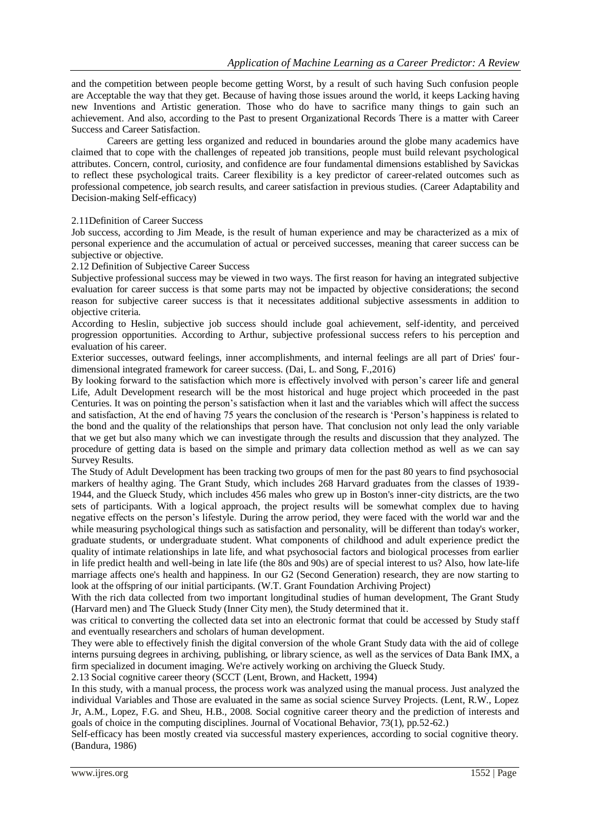and the competition between people become getting Worst, by a result of such having Such confusion people are Acceptable the way that they get. Because of having those issues around the world, it keeps Lacking having new Inventions and Artistic generation. Those who do have to sacrifice many things to gain such an achievement. And also, according to the Past to present Organizational Records There is a matter with Career Success and Career Satisfaction.

Careers are getting less organized and reduced in boundaries around the globe many academics have claimed that to cope with the challenges of repeated job transitions, people must build relevant psychological attributes. Concern, control, curiosity, and confidence are four fundamental dimensions established by Savickas to reflect these psychological traits. Career flexibility is a key predictor of career-related outcomes such as professional competence, job search results, and career satisfaction in previous studies. (Career Adaptability and Decision-making Self-efficacy)

#### 2.11Definition of Career Success

Job success, according to Jim Meade, is the result of human experience and may be characterized as a mix of personal experience and the accumulation of actual or perceived successes, meaning that career success can be subjective or objective.

#### 2.12 Definition of Subjective Career Success

Subjective professional success may be viewed in two ways. The first reason for having an integrated subjective evaluation for career success is that some parts may not be impacted by objective considerations; the second reason for subjective career success is that it necessitates additional subjective assessments in addition to objective criteria.

According to Heslin, subjective job success should include goal achievement, self-identity, and perceived progression opportunities. According to Arthur, subjective professional success refers to his perception and evaluation of his career.

Exterior successes, outward feelings, inner accomplishments, and internal feelings are all part of Dries' fourdimensional integrated framework for career success. (Dai, L. and Song, F.,2016)

By looking forward to the satisfaction which more is effectively involved with person's career life and general Life, Adult Development research will be the most historical and huge project which proceeded in the past Centuries. It was on pointing the person's satisfaction when it last and the variables which will affect the success and satisfaction, At the end of having 75 years the conclusion of the research is 'Person's happiness is related to the bond and the quality of the relationships that person have. That conclusion not only lead the only variable that we get but also many which we can investigate through the results and discussion that they analyzed. The procedure of getting data is based on the simple and primary data collection method as well as we can say Survey Results.

The Study of Adult Development has been tracking two groups of men for the past 80 years to find psychosocial markers of healthy aging. The Grant Study, which includes 268 Harvard graduates from the classes of 1939- 1944, and the Glueck Study, which includes 456 males who grew up in Boston's inner-city districts, are the two sets of participants. With a logical approach, the project results will be somewhat complex due to having negative effects on the person's lifestyle. During the arrow period, they were faced with the world war and the while measuring psychological things such as satisfaction and personality, will be different than today's worker, graduate students, or undergraduate student. What components of childhood and adult experience predict the quality of intimate relationships in late life, and what psychosocial factors and biological processes from earlier in life predict health and well-being in late life (the 80s and 90s) are of special interest to us? Also, how late-life marriage affects one's health and happiness. In our G2 (Second Generation) research, they are now starting to look at the offspring of our initial participants. (W.T. Grant Foundation Archiving Project)

With the rich data collected from two important longitudinal studies of human development, The Grant Study (Harvard men) and The Glueck Study (Inner City men), the Study determined that it.

was critical to converting the collected data set into an electronic format that could be accessed by Study staff and eventually researchers and scholars of human development.

They were able to effectively finish the digital conversion of the whole Grant Study data with the aid of college interns pursuing degrees in archiving, publishing, or library science, as well as the services of Data Bank IMX, a firm specialized in document imaging. We're actively working on archiving the Glueck Study.

2.13 Social cognitive career theory (SCCT (Lent, Brown, and Hackett, 1994)

In this study, with a manual process, the process work was analyzed using the manual process. Just analyzed the individual Variables and Those are evaluated in the same as social science Survey Projects. (Lent, R.W., Lopez Jr, A.M., Lopez, F.G. and Sheu, H.B., 2008. Social cognitive career theory and the prediction of interests and goals of choice in the computing disciplines. Journal of Vocational Behavior, 73(1), pp.52-62.)

Self-efficacy has been mostly created via successful mastery experiences, according to social cognitive theory. (Bandura, 1986)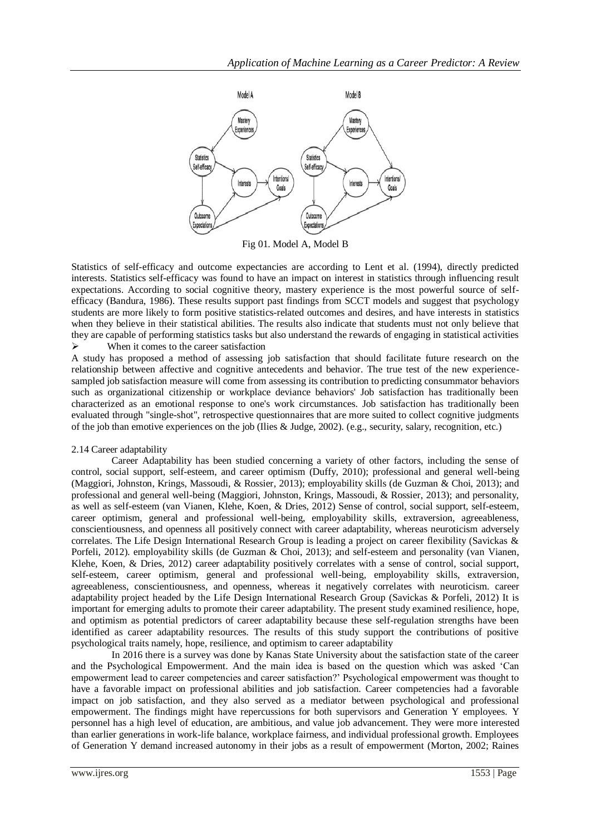

Fig 01. Model A, Model B

Statistics of self-efficacy and outcome expectancies are according to Lent et al. (1994), directly predicted interests. Statistics self-efficacy was found to have an impact on interest in statistics through influencing result expectations. According to social cognitive theory, mastery experience is the most powerful source of selfefficacy (Bandura, 1986). These results support past findings from SCCT models and suggest that psychology students are more likely to form positive statistics-related outcomes and desires, and have interests in statistics when they believe in their statistical abilities. The results also indicate that students must not only believe that they are capable of performing statistics tasks but also understand the rewards of engaging in statistical activities  $\triangleright$  When it comes to the career satisfaction

A study has proposed a method of assessing job satisfaction that should facilitate future research on the relationship between affective and cognitive antecedents and behavior. The true test of the new experiencesampled job satisfaction measure will come from assessing its contribution to predicting consummator behaviors such as organizational citizenship or workplace deviance behaviors' Job satisfaction has traditionally been characterized as an emotional response to one's work circumstances. Job satisfaction has traditionally been evaluated through "single-shot", retrospective questionnaires that are more suited to collect cognitive judgments of the job than emotive experiences on the job (Ilies & Judge, 2002). (e.g., security, salary, recognition, etc.)

## 2.14 Career adaptability

Career Adaptability has been studied concerning a variety of other factors, including the sense of control, social support, self-esteem, and career optimism (Duffy, 2010); professional and general well-being (Maggiori, Johnston, Krings, Massoudi, & Rossier, 2013); employability skills (de Guzman & Choi, 2013); and professional and general well-being (Maggiori, Johnston, Krings, Massoudi, & Rossier, 2013); and personality, as well as self-esteem (van Vianen, Klehe, Koen, & Dries, 2012) Sense of control, social support, self-esteem, career optimism, general and professional well-being, employability skills, extraversion, agreeableness, conscientiousness, and openness all positively connect with career adaptability, whereas neuroticism adversely correlates. The Life Design International Research Group is leading a project on career flexibility (Savickas & Porfeli, 2012). employability skills (de Guzman & Choi, 2013); and self-esteem and personality (van Vianen, Klehe, Koen, & Dries, 2012) career adaptability positively correlates with a sense of control, social support, self-esteem, career optimism, general and professional well-being, employability skills, extraversion, agreeableness, conscientiousness, and openness, whereas it negatively correlates with neuroticism. career adaptability project headed by the Life Design International Research Group (Savickas & Porfeli, 2012) It is important for emerging adults to promote their career adaptability. The present study examined resilience, hope, and optimism as potential predictors of career adaptability because these self-regulation strengths have been identified as career adaptability resources. The results of this study support the contributions of positive psychological traits namely, hope, resilience, and optimism to career adaptability

In 2016 there is a survey was done by Kanas State University about the satisfaction state of the career and the Psychological Empowerment. And the main idea is based on the question which was asked 'Can empowerment lead to career competencies and career satisfaction?' Psychological empowerment was thought to have a favorable impact on professional abilities and job satisfaction. Career competencies had a favorable impact on job satisfaction, and they also served as a mediator between psychological and professional empowerment. The findings might have repercussions for both supervisors and Generation Y employees. Y personnel has a high level of education, are ambitious, and value job advancement. They were more interested than earlier generations in work-life balance, workplace fairness, and individual professional growth. Employees of Generation Y demand increased autonomy in their jobs as a result of empowerment (Morton, 2002; Raines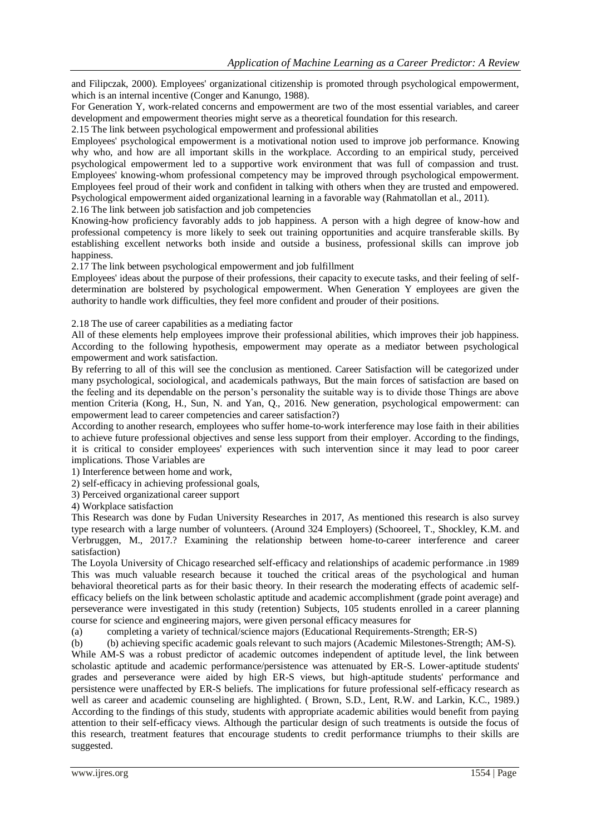and Filipczak, 2000). Employees' organizational citizenship is promoted through psychological empowerment, which is an internal incentive (Conger and Kanungo, 1988).

For Generation Y, work-related concerns and empowerment are two of the most essential variables, and career development and empowerment theories might serve as a theoretical foundation for this research.

2.15 The link between psychological empowerment and professional abilities

Employees' psychological empowerment is a motivational notion used to improve job performance. Knowing why who, and how are all important skills in the workplace. According to an empirical study, perceived psychological empowerment led to a supportive work environment that was full of compassion and trust. Employees' knowing-whom professional competency may be improved through psychological empowerment. Employees feel proud of their work and confident in talking with others when they are trusted and empowered. Psychological empowerment aided organizational learning in a favorable way (Rahmatollan et al., 2011). 2.16 The link between job satisfaction and job competencies

Knowing-how proficiency favorably adds to job happiness. A person with a high degree of know-how and professional competency is more likely to seek out training opportunities and acquire transferable skills. By establishing excellent networks both inside and outside a business, professional skills can improve job happiness.

2.17 The link between psychological empowerment and job fulfillment

Employees' ideas about the purpose of their professions, their capacity to execute tasks, and their feeling of selfdetermination are bolstered by psychological empowerment. When Generation Y employees are given the authority to handle work difficulties, they feel more confident and prouder of their positions.

2.18 The use of career capabilities as a mediating factor

All of these elements help employees improve their professional abilities, which improves their job happiness. According to the following hypothesis, empowerment may operate as a mediator between psychological empowerment and work satisfaction.

By referring to all of this will see the conclusion as mentioned. Career Satisfaction will be categorized under many psychological, sociological, and academicals pathways, But the main forces of satisfaction are based on the feeling and its dependable on the person's personality the suitable way is to divide those Things are above mention Criteria (Kong, H., Sun, N. and Yan, Q., 2016. New generation, psychological empowerment: can empowerment lead to career competencies and career satisfaction?)

According to another research, employees who suffer home-to-work interference may lose faith in their abilities to achieve future professional objectives and sense less support from their employer. According to the findings, it is critical to consider employees' experiences with such intervention since it may lead to poor career implications. Those Variables are

1) Interference between home and work,

2) self-efficacy in achieving professional goals,

3) Perceived organizational career support

4) Workplace satisfaction

This Research was done by Fudan University Researches in 2017, As mentioned this research is also survey type research with a large number of volunteers. (Around 324 Employers) (Schooreel, T., Shockley, K.M. and Verbruggen, M., 2017.? Examining the relationship between home-to-career interference and career satisfaction)

The Loyola University of Chicago researched self-efficacy and relationships of academic performance .in 1989 This was much valuable research because it touched the critical areas of the psychological and human behavioral theoretical parts as for their basic theory. In their research the moderating effects of academic selfefficacy beliefs on the link between scholastic aptitude and academic accomplishment (grade point average) and perseverance were investigated in this study (retention) Subjects, 105 students enrolled in a career planning course for science and engineering majors, were given personal efficacy measures for

(a) completing a variety of technical/science majors (Educational Requirements-Strength; ER-S)

(b) (b) achieving specific academic goals relevant to such majors (Academic Milestones-Strength; AM-S).

While AM-S was a robust predictor of academic outcomes independent of aptitude level, the link between scholastic aptitude and academic performance/persistence was attenuated by ER-S. Lower-aptitude students' grades and perseverance were aided by high ER-S views, but high-aptitude students' performance and persistence were unaffected by ER-S beliefs. The implications for future professional self-efficacy research as well as career and academic counseling are highlighted. (Brown, S.D., Lent, R.W. and Larkin, K.C., 1989.) According to the findings of this study, students with appropriate academic abilities would benefit from paying attention to their self-efficacy views. Although the particular design of such treatments is outside the focus of this research, treatment features that encourage students to credit performance triumphs to their skills are suggested.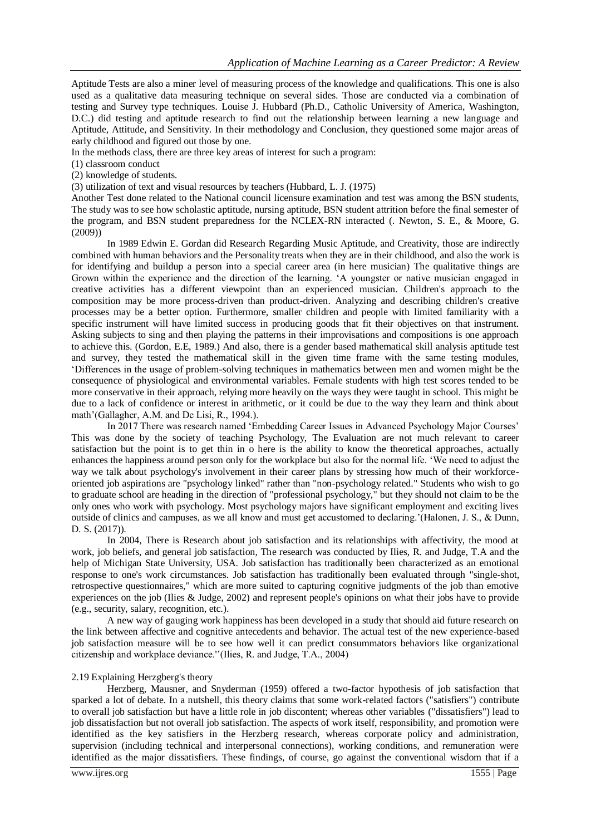Aptitude Tests are also a miner level of measuring process of the knowledge and qualifications. This one is also used as a qualitative data measuring technique on several sides. Those are conducted via a combination of testing and Survey type techniques. Louise J. Hubbard (Ph.D., Catholic University of America, Washington, D.C.) did testing and aptitude research to find out the relationship between learning a new language and Aptitude, Attitude, and Sensitivity. In their methodology and Conclusion, they questioned some major areas of early childhood and figured out those by one.

In the methods class, there are three key areas of interest for such a program:

- (1) classroom conduct
- (2) knowledge of students.

(3) utilization of text and visual resources by teachers (Hubbard, L. J. (1975)

Another Test done related to the National council licensure examination and test was among the BSN students, The study was to see how scholastic aptitude, nursing aptitude, BSN student attrition before the final semester of the program, and BSN student preparedness for the NCLEX-RN interacted (. Newton, S. E., & Moore, G.  $(2009)$ )

In 1989 Edwin E. Gordan did Research Regarding Music Aptitude, and Creativity, those are indirectly combined with human behaviors and the Personality treats when they are in their childhood, and also the work is for identifying and buildup a person into a special career area (in here musician) The qualitative things are Grown within the experience and the direction of the learning. 'A youngster or native musician engaged in creative activities has a different viewpoint than an experienced musician. Children's approach to the composition may be more process-driven than product-driven. Analyzing and describing children's creative processes may be a better option. Furthermore, smaller children and people with limited familiarity with a specific instrument will have limited success in producing goods that fit their objectives on that instrument. Asking subjects to sing and then playing the patterns in their improvisations and compositions is one approach to achieve this. (Gordon, E.E, 1989.) And also, there is a gender based mathematical skill analysis aptitude test and survey, they tested the mathematical skill in the given time frame with the same testing modules, 'Differences in the usage of problem-solving techniques in mathematics between men and women might be the consequence of physiological and environmental variables. Female students with high test scores tended to be more conservative in their approach, relying more heavily on the ways they were taught in school. This might be due to a lack of confidence or interest in arithmetic, or it could be due to the way they learn and think about math'(Gallagher, A.M. and De Lisi, R., 1994.).

In 2017 There was research named 'Embedding Career Issues in Advanced Psychology Major Courses' This was done by the society of teaching Psychology, The Evaluation are not much relevant to career satisfaction but the point is to get thin in o here is the ability to know the theoretical approaches, actually enhances the happiness around person only for the workplace but also for the normal life. 'We need to adjust the way we talk about psychology's involvement in their career plans by stressing how much of their workforceoriented job aspirations are "psychology linked" rather than "non-psychology related." Students who wish to go to graduate school are heading in the direction of "professional psychology," but they should not claim to be the only ones who work with psychology. Most psychology majors have significant employment and exciting lives outside of clinics and campuses, as we all know and must get accustomed to declaring.'(Halonen, J. S., & Dunn, D. S. (2017)).

In 2004, There is Research about job satisfaction and its relationships with affectivity, the mood at work, job beliefs, and general job satisfaction, The research was conducted by Ilies, R. and Judge, T.A and the help of Michigan State University, USA. Job satisfaction has traditionally been characterized as an emotional response to one's work circumstances. Job satisfaction has traditionally been evaluated through "single-shot, retrospective questionnaires," which are more suited to capturing cognitive judgments of the job than emotive experiences on the job (Ilies & Judge, 2002) and represent people's opinions on what their jobs have to provide (e.g., security, salary, recognition, etc.).

A new way of gauging work happiness has been developed in a study that should aid future research on the link between affective and cognitive antecedents and behavior. The actual test of the new experience-based job satisfaction measure will be to see how well it can predict consummators behaviors like organizational citizenship and workplace deviance.''(Ilies, R. and Judge, T.A., 2004)

#### 2.19 Explaining Herzgberg's theory

Herzberg, Mausner, and Snyderman (1959) offered a two-factor hypothesis of job satisfaction that sparked a lot of debate. In a nutshell, this theory claims that some work-related factors ("satisfiers") contribute to overall job satisfaction but have a little role in job discontent; whereas other variables ("dissatisfiers") lead to job dissatisfaction but not overall job satisfaction. The aspects of work itself, responsibility, and promotion were identified as the key satisfiers in the Herzberg research, whereas corporate policy and administration, supervision (including technical and interpersonal connections), working conditions, and remuneration were identified as the major dissatisfiers. These findings, of course, go against the conventional wisdom that if a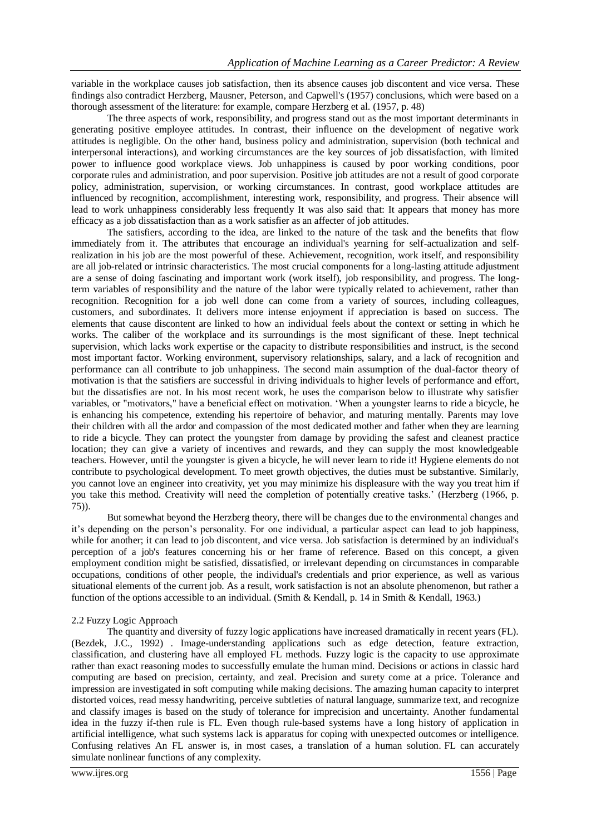variable in the workplace causes job satisfaction, then its absence causes job discontent and vice versa. These findings also contradict Herzberg, Mausner, Peterson, and Capwell's (1957) conclusions, which were based on a thorough assessment of the literature: for example, compare Herzberg et al. (1957, p. 48)

The three aspects of work, responsibility, and progress stand out as the most important determinants in generating positive employee attitudes. In contrast, their influence on the development of negative work attitudes is negligible. On the other hand, business policy and administration, supervision (both technical and interpersonal interactions), and working circumstances are the key sources of job dissatisfaction, with limited power to influence good workplace views. Job unhappiness is caused by poor working conditions, poor corporate rules and administration, and poor supervision. Positive job attitudes are not a result of good corporate policy, administration, supervision, or working circumstances. In contrast, good workplace attitudes are influenced by recognition, accomplishment, interesting work, responsibility, and progress. Their absence will lead to work unhappiness considerably less frequently It was also said that: It appears that money has more efficacy as a job dissatisfaction than as a work satisfier as an affecter of job attitudes.

The satisfiers, according to the idea, are linked to the nature of the task and the benefits that flow immediately from it. The attributes that encourage an individual's yearning for self-actualization and selfrealization in his job are the most powerful of these. Achievement, recognition, work itself, and responsibility are all job-related or intrinsic characteristics. The most crucial components for a long-lasting attitude adjustment are a sense of doing fascinating and important work (work itself), job responsibility, and progress. The longterm variables of responsibility and the nature of the labor were typically related to achievement, rather than recognition. Recognition for a job well done can come from a variety of sources, including colleagues, customers, and subordinates. It delivers more intense enjoyment if appreciation is based on success. The elements that cause discontent are linked to how an individual feels about the context or setting in which he works. The caliber of the workplace and its surroundings is the most significant of these. Inept technical supervision, which lacks work expertise or the capacity to distribute responsibilities and instruct, is the second most important factor. Working environment, supervisory relationships, salary, and a lack of recognition and performance can all contribute to job unhappiness. The second main assumption of the dual-factor theory of motivation is that the satisfiers are successful in driving individuals to higher levels of performance and effort, but the dissatisfies are not. In his most recent work, he uses the comparison below to illustrate why satisfier variables, or "motivators," have a beneficial effect on motivation. 'When a youngster learns to ride a bicycle, he is enhancing his competence, extending his repertoire of behavior, and maturing mentally. Parents may love their children with all the ardor and compassion of the most dedicated mother and father when they are learning to ride a bicycle. They can protect the youngster from damage by providing the safest and cleanest practice location; they can give a variety of incentives and rewards, and they can supply the most knowledgeable teachers. However, until the youngster is given a bicycle, he will never learn to ride it! Hygiene elements do not contribute to psychological development. To meet growth objectives, the duties must be substantive. Similarly, you cannot love an engineer into creativity, yet you may minimize his displeasure with the way you treat him if you take this method. Creativity will need the completion of potentially creative tasks.' (Herzberg (1966, p. 75)).

But somewhat beyond the Herzberg theory, there will be changes due to the environmental changes and it's depending on the person's personality. For one individual, a particular aspect can lead to job happiness, while for another; it can lead to job discontent, and vice versa. Job satisfaction is determined by an individual's perception of a job's features concerning his or her frame of reference. Based on this concept, a given employment condition might be satisfied, dissatisfied, or irrelevant depending on circumstances in comparable occupations, conditions of other people, the individual's credentials and prior experience, as well as various situational elements of the current job. As a result, work satisfaction is not an absolute phenomenon, but rather a function of the options accessible to an individual. (Smith & Kendall, p. 14 in Smith & Kendall, 1963.)

#### 2.2 Fuzzy Logic Approach

The quantity and diversity of fuzzy logic applications have increased dramatically in recent years (FL). (Bezdek, J.C., 1992) . Image-understanding applications such as edge detection, feature extraction, classification, and clustering have all employed FL methods. Fuzzy logic is the capacity to use approximate rather than exact reasoning modes to successfully emulate the human mind. Decisions or actions in classic hard computing are based on precision, certainty, and zeal. Precision and surety come at a price. Tolerance and impression are investigated in soft computing while making decisions. The amazing human capacity to interpret distorted voices, read messy handwriting, perceive subtleties of natural language, summarize text, and recognize and classify images is based on the study of tolerance for imprecision and uncertainty. Another fundamental idea in the fuzzy if-then rule is FL. Even though rule-based systems have a long history of application in artificial intelligence, what such systems lack is apparatus for coping with unexpected outcomes or intelligence. Confusing relatives An FL answer is, in most cases, a translation of a human solution. FL can accurately simulate nonlinear functions of any complexity.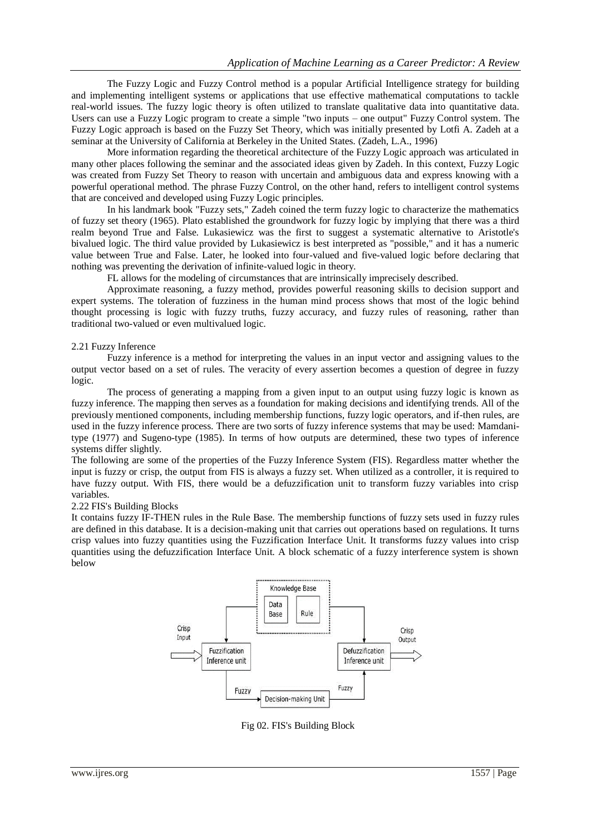The Fuzzy Logic and Fuzzy Control method is a popular Artificial Intelligence strategy for building and implementing intelligent systems or applications that use effective mathematical computations to tackle real-world issues. The fuzzy logic theory is often utilized to translate qualitative data into quantitative data. Users can use a Fuzzy Logic program to create a simple "two inputs – one output" Fuzzy Control system. The Fuzzy Logic approach is based on the Fuzzy Set Theory, which was initially presented by Lotfi A. Zadeh at a seminar at the University of California at Berkeley in the United States. (Zadeh, L.A., 1996)

More information regarding the theoretical architecture of the Fuzzy Logic approach was articulated in many other places following the seminar and the associated ideas given by Zadeh. In this context, Fuzzy Logic was created from Fuzzy Set Theory to reason with uncertain and ambiguous data and express knowing with a powerful operational method. The phrase Fuzzy Control, on the other hand, refers to intelligent control systems that are conceived and developed using Fuzzy Logic principles.

In his landmark book "Fuzzy sets," Zadeh coined the term fuzzy logic to characterize the mathematics of fuzzy set theory (1965). Plato established the groundwork for fuzzy logic by implying that there was a third realm beyond True and False. Lukasiewicz was the first to suggest a systematic alternative to Aristotle's bivalued logic. The third value provided by Lukasiewicz is best interpreted as "possible," and it has a numeric value between True and False. Later, he looked into four-valued and five-valued logic before declaring that nothing was preventing the derivation of infinite-valued logic in theory.

FL allows for the modeling of circumstances that are intrinsically imprecisely described.

Approximate reasoning, a fuzzy method, provides powerful reasoning skills to decision support and expert systems. The toleration of fuzziness in the human mind process shows that most of the logic behind thought processing is logic with fuzzy truths, fuzzy accuracy, and fuzzy rules of reasoning, rather than traditional two-valued or even multivalued logic.

#### 2.21 Fuzzy Inference

Fuzzy inference is a method for interpreting the values in an input vector and assigning values to the output vector based on a set of rules. The veracity of every assertion becomes a question of degree in fuzzy logic.

The process of generating a mapping from a given input to an output using fuzzy logic is known as fuzzy inference. The mapping then serves as a foundation for making decisions and identifying trends. All of the previously mentioned components, including membership functions, fuzzy logic operators, and if-then rules, are used in the fuzzy inference process. There are two sorts of fuzzy inference systems that may be used: Mamdanitype (1977) and Sugeno-type (1985). In terms of how outputs are determined, these two types of inference systems differ slightly.

The following are some of the properties of the Fuzzy Inference System (FIS). Regardless matter whether the input is fuzzy or crisp, the output from FIS is always a fuzzy set. When utilized as a controller, it is required to have fuzzy output. With FIS, there would be a defuzzification unit to transform fuzzy variables into crisp variables.

#### 2.22 FIS's Building Blocks

It contains fuzzy IF-THEN rules in the Rule Base. The membership functions of fuzzy sets used in fuzzy rules are defined in this database. It is a decision-making unit that carries out operations based on regulations. It turns crisp values into fuzzy quantities using the Fuzzification Interface Unit. It transforms fuzzy values into crisp quantities using the defuzzification Interface Unit. A block schematic of a fuzzy interference system is shown below



Fig 02. FIS's Building Block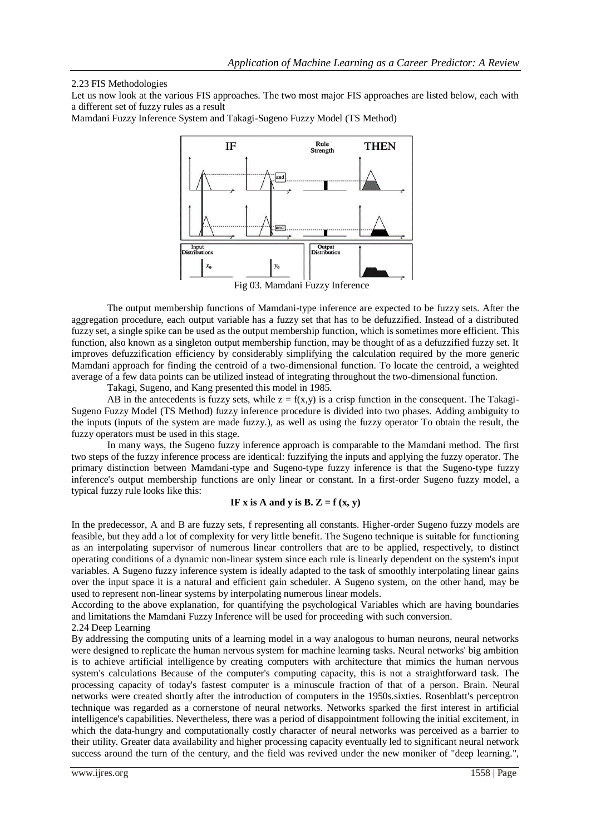### 2.23 FIS Methodologies

Let us now look at the various FIS approaches. The two most major FIS approaches are listed below, each with a different set of fuzzy rules as a result

Mamdani Fuzzy Inference System and Takagi-Sugeno Fuzzy Model (TS Method)



The output membership functions of Mamdani-type inference are expected to be fuzzy sets. After the aggregation procedure, each output variable has a fuzzy set that has to be defuzzified. Instead of a distributed fuzzy set, a single spike can be used as the output membership function, which is sometimes more efficient. This function, also known as a singleton output membership function, may be thought of as a defuzzified fuzzy set. It improves defuzzification efficiency by considerably simplifying the calculation required by the more generic Mamdani approach for finding the centroid of a two-dimensional function. To locate the centroid, a weighted average of a few data points can be utilized instead of integrating throughout the two-dimensional function.

Takagi, Sugeno, and Kang presented this model in 1985.

AB in the antecedents is fuzzy sets, while  $z = f(x,y)$  is a crisp function in the consequent. The Takagi-Sugeno Fuzzy Model (TS Method) fuzzy inference procedure is divided into two phases. Adding ambiguity to the inputs (inputs of the system are made fuzzy.), as well as using the fuzzy operator To obtain the result, the fuzzy operators must be used in this stage.

In many ways, the Sugeno fuzzy inference approach is comparable to the Mamdani method. The first two steps of the fuzzy inference process are identical: fuzzifying the inputs and applying the fuzzy operator. The primary distinction between Mamdani-type and Sugeno-type fuzzy inference is that the Sugeno-type fuzzy inference's output membership functions are only linear or constant. In a first-order Sugeno fuzzy model, a typical fuzzy rule looks like this:

#### **IF** x is A and y is B.  $Z = f(x, y)$

In the predecessor, A and B are fuzzy sets, f representing all constants. Higher-order Sugeno fuzzy models are feasible, but they add a lot of complexity for very little benefit. The Sugeno technique is suitable for functioning as an interpolating supervisor of numerous linear controllers that are to be applied, respectively, to distinct operating conditions of a dynamic non-linear system since each rule is linearly dependent on the system's input variables. A Sugeno fuzzy inference system is ideally adapted to the task of smoothly interpolating linear gains over the input space it is a natural and efficient gain scheduler. A Sugeno system, on the other hand, may be used to represent non-linear systems by interpolating numerous linear models.

According to the above explanation, for quantifying the psychological Variables which are having boundaries and limitations the Mamdani Fuzzy Inference will be used for proceeding with such conversion.

# 2.24 Deep Learning

By addressing the computing units of a learning model in a way analogous to human neurons, neural networks were designed to replicate the human nervous system for machine learning tasks. Neural networks' big ambition is to achieve artificial intelligence by creating computers with architecture that mimics the human nervous system's calculations Because of the computer's computing capacity, this is not a straightforward task. The processing capacity of today's fastest computer is a minuscule fraction of that of a person. Brain. Neural networks were created shortly after the introduction of computers in the 1950s.sixties. Rosenblatt's perceptron technique was regarded as a cornerstone of neural networks. Networks sparked the first interest in artificial intelligence's capabilities. Nevertheless, there was a period of disappointment following the initial excitement, in which the data-hungry and computationally costly character of neural networks was perceived as a barrier to their utility. Greater data availability and higher processing capacity eventually led to significant neural network success around the turn of the century, and the field was revived under the new moniker of "deep learning.",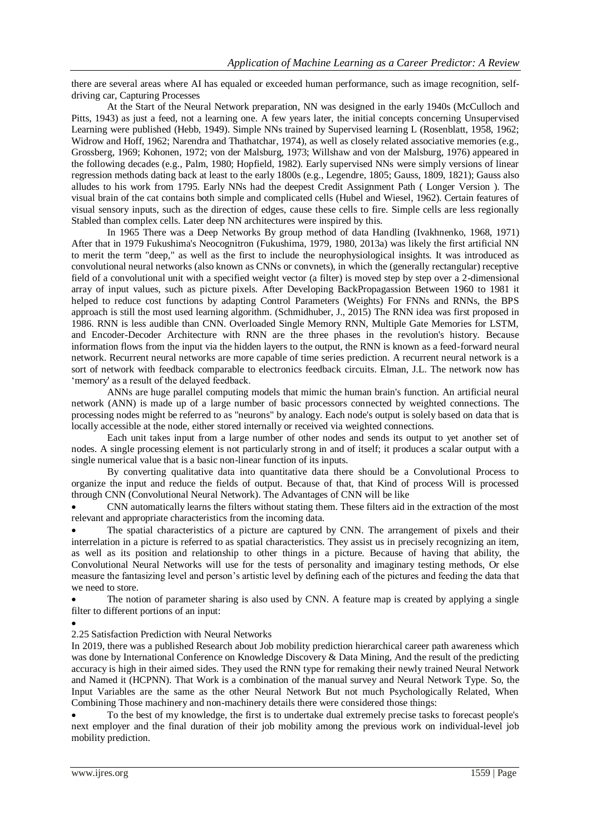there are several areas where AI has equaled or exceeded human performance, such as image recognition, selfdriving car, Capturing Processes

At the Start of the Neural Network preparation, NN was designed in the early 1940s (McCulloch and Pitts, 1943) as just a feed, not a learning one. A few years later, the initial concepts concerning Unsupervised Learning were published (Hebb, 1949). Simple NNs trained by Supervised learning L (Rosenblatt, 1958, 1962; Widrow and Hoff, 1962; Narendra and Thathatchar, 1974), as well as closely related associative memories (e.g., Grossberg, 1969; Kohonen, 1972; von der Malsburg, 1973; Willshaw and von der Malsburg, 1976) appeared in the following decades (e.g., Palm, 1980; Hopfield, 1982). Early supervised NNs were simply versions of linear regression methods dating back at least to the early 1800s (e.g., Legendre, 1805; Gauss, 1809, 1821); Gauss also alludes to his work from 1795. Early NNs had the deepest Credit Assignment Path ( Longer Version ). The visual brain of the cat contains both simple and complicated cells (Hubel and Wiesel, 1962). Certain features of visual sensory inputs, such as the direction of edges, cause these cells to fire. Simple cells are less regionally Stabled than complex cells. Later deep NN architectures were inspired by this.

In 1965 There was a Deep Networks By group method of data Handling (Ivakhnenko, 1968, 1971) After that in 1979 Fukushima's Neocognitron (Fukushima, 1979, 1980, 2013a) was likely the first artificial NN to merit the term "deep," as well as the first to include the neurophysiological insights. It was introduced as convolutional neural networks (also known as CNNs or convnets), in which the (generally rectangular) receptive field of a convolutional unit with a specified weight vector (a filter) is moved step by step over a 2-dimensional array of input values, such as picture pixels. After Developing BackPropagassion Between 1960 to 1981 it helped to reduce cost functions by adapting Control Parameters (Weights) For FNNs and RNNs, the BPS approach is still the most used learning algorithm. (Schmidhuber, J., 2015) The RNN idea was first proposed in 1986. RNN is less audible than CNN. Overloaded Single Memory RNN, Multiple Gate Memories for LSTM, and Encoder-Decoder Architecture with RNN are the three phases in the revolution's history. Because information flows from the input via the hidden layers to the output, the RNN is known as a feed-forward neural network. Recurrent neural networks are more capable of time series prediction. A recurrent neural network is a sort of network with feedback comparable to electronics feedback circuits. Elman, J.L. The network now has 'memory' as a result of the delayed feedback.

ANNs are huge parallel computing models that mimic the human brain's function. An artificial neural network (ANN) is made up of a large number of basic processors connected by weighted connections. The processing nodes might be referred to as "neurons" by analogy. Each node's output is solely based on data that is locally accessible at the node, either stored internally or received via weighted connections.

Each unit takes input from a large number of other nodes and sends its output to yet another set of nodes. A single processing element is not particularly strong in and of itself; it produces a scalar output with a single numerical value that is a basic non-linear function of its inputs.

By converting qualitative data into quantitative data there should be a Convolutional Process to organize the input and reduce the fields of output. Because of that, that Kind of process Will is processed through CNN (Convolutional Neural Network). The Advantages of CNN will be like

 CNN automatically learns the filters without stating them. These filters aid in the extraction of the most relevant and appropriate characteristics from the incoming data.

 The spatial characteristics of a picture are captured by CNN. The arrangement of pixels and their interrelation in a picture is referred to as spatial characteristics. They assist us in precisely recognizing an item, as well as its position and relationship to other things in a picture. Because of having that ability, the Convolutional Neural Networks will use for the tests of personality and imaginary testing methods, Or else measure the fantasizing level and person's artistic level by defining each of the pictures and feeding the data that we need to store.

 The notion of parameter sharing is also used by CNN. A feature map is created by applying a single filter to different portions of an input:

#### $\bullet$

#### 2.25 Satisfaction Prediction with Neural Networks

In 2019, there was a published Research about Job mobility prediction hierarchical career path awareness which was done by International Conference on Knowledge Discovery & Data Mining, And the result of the predicting accuracy is high in their aimed sides. They used the RNN type for remaking their newly trained Neural Network and Named it (HCPNN). That Work is a combination of the manual survey and Neural Network Type. So, the Input Variables are the same as the other Neural Network But not much Psychologically Related, When Combining Those machinery and non-machinery details there were considered those things:

 To the best of my knowledge, the first is to undertake dual extremely precise tasks to forecast people's next employer and the final duration of their job mobility among the previous work on individual-level job mobility prediction.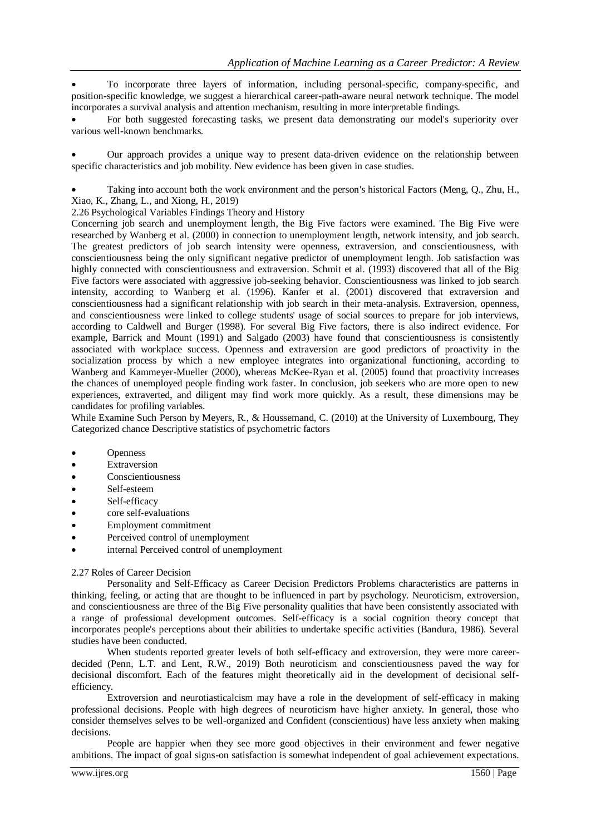To incorporate three layers of information, including personal-specific, company-specific, and position-specific knowledge, we suggest a hierarchical career-path-aware neural network technique. The model incorporates a survival analysis and attention mechanism, resulting in more interpretable findings.

 For both suggested forecasting tasks, we present data demonstrating our model's superiority over various well-known benchmarks.

 Our approach provides a unique way to present data-driven evidence on the relationship between specific characteristics and job mobility. New evidence has been given in case studies.

 Taking into account both the work environment and the person's historical Factors (Meng, Q., Zhu, H., Xiao, K., Zhang, L., and Xiong, H., 2019)

2.26 Psychological Variables Findings Theory and History

Concerning job search and unemployment length, the Big Five factors were examined. The Big Five were researched by Wanberg et al. (2000) in connection to unemployment length, network intensity, and job search. The greatest predictors of job search intensity were openness, extraversion, and conscientiousness, with conscientiousness being the only significant negative predictor of unemployment length. Job satisfaction was highly connected with conscientiousness and extraversion. Schmit et al. (1993) discovered that all of the Big Five factors were associated with aggressive job-seeking behavior. Conscientiousness was linked to job search intensity, according to Wanberg et al. (1996). Kanfer et al. (2001) discovered that extraversion and conscientiousness had a significant relationship with job search in their meta-analysis. Extraversion, openness, and conscientiousness were linked to college students' usage of social sources to prepare for job interviews, according to Caldwell and Burger (1998). For several Big Five factors, there is also indirect evidence. For example, Barrick and Mount (1991) and Salgado (2003) have found that conscientiousness is consistently associated with workplace success. Openness and extraversion are good predictors of proactivity in the socialization process by which a new employee integrates into organizational functioning, according to Wanberg and Kammeyer-Mueller (2000), whereas McKee-Ryan et al. (2005) found that proactivity increases the chances of unemployed people finding work faster. In conclusion, job seekers who are more open to new experiences, extraverted, and diligent may find work more quickly. As a result, these dimensions may be candidates for profiling variables.

While Examine Such Person by Meyers, R., & Houssemand, C. (2010) at the University of Luxembourg, They Categorized chance Descriptive statistics of psychometric factors

- **Openness**
- Extraversion
- Conscientiousness
- Self-esteem
- Self-efficacy
- core self-evaluations
- Employment commitment
- Perceived control of unemployment
- internal Perceived control of unemployment

#### 2.27 Roles of Career Decision

Personality and Self-Efficacy as Career Decision Predictors Problems characteristics are patterns in thinking, feeling, or acting that are thought to be influenced in part by psychology. Neuroticism, extroversion, and conscientiousness are three of the Big Five personality qualities that have been consistently associated with a range of professional development outcomes. Self-efficacy is a social cognition theory concept that incorporates people's perceptions about their abilities to undertake specific activities (Bandura, 1986). Several studies have been conducted.

When students reported greater levels of both self-efficacy and extroversion, they were more careerdecided (Penn, L.T. and Lent, R.W., 2019) Both neuroticism and conscientiousness paved the way for decisional discomfort. Each of the features might theoretically aid in the development of decisional selfefficiency.

Extroversion and neurotiasticalcism may have a role in the development of self-efficacy in making professional decisions. People with high degrees of neuroticism have higher anxiety. In general, those who consider themselves selves to be well-organized and Confident (conscientious) have less anxiety when making decisions.

People are happier when they see more good objectives in their environment and fewer negative ambitions. The impact of goal signs-on satisfaction is somewhat independent of goal achievement expectations.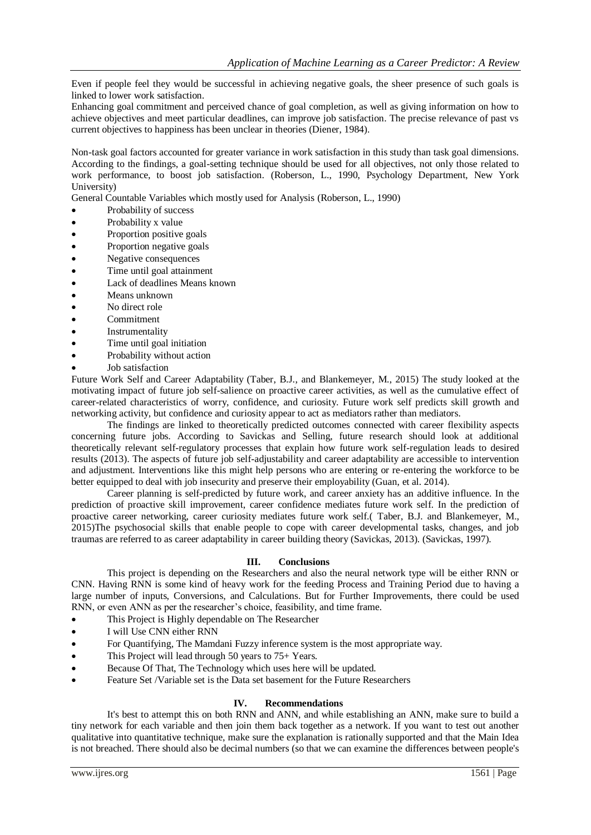Even if people feel they would be successful in achieving negative goals, the sheer presence of such goals is linked to lower work satisfaction.

Enhancing goal commitment and perceived chance of goal completion, as well as giving information on how to achieve objectives and meet particular deadlines, can improve job satisfaction. The precise relevance of past vs current objectives to happiness has been unclear in theories (Diener, 1984).

Non-task goal factors accounted for greater variance in work satisfaction in this study than task goal dimensions. According to the findings, a goal-setting technique should be used for all objectives, not only those related to work performance, to boost job satisfaction. (Roberson, L., 1990, Psychology Department, New York University)

General Countable Variables which mostly used for Analysis (Roberson, L., 1990)

- Probability of success
- Probability x value
- Proportion positive goals
- Proportion negative goals
- Negative consequences
- Time until goal attainment
- Lack of deadlines Means known
- Means unknown
- No direct role
- Commitment
- Instrumentality
- Time until goal initiation
- Probability without action
- Job satisfaction

Future Work Self and Career Adaptability (Taber, B.J., and Blankemeyer, M., 2015) The study looked at the motivating impact of future job self-salience on proactive career activities, as well as the cumulative effect of career-related characteristics of worry, confidence, and curiosity. Future work self predicts skill growth and networking activity, but confidence and curiosity appear to act as mediators rather than mediators.

The findings are linked to theoretically predicted outcomes connected with career flexibility aspects concerning future jobs. According to Savickas and Selling, future research should look at additional theoretically relevant self-regulatory processes that explain how future work self-regulation leads to desired results (2013). The aspects of future job self-adjustability and career adaptability are accessible to intervention and adjustment. Interventions like this might help persons who are entering or re-entering the workforce to be better equipped to deal with job insecurity and preserve their employability (Guan, et al. 2014).

Career planning is self-predicted by future work, and career anxiety has an additive influence. In the prediction of proactive skill improvement, career confidence mediates future work self. In the prediction of proactive career networking, career curiosity mediates future work self.( Taber, B.J. and Blankemeyer, M., 2015)The psychosocial skills that enable people to cope with career developmental tasks, changes, and job traumas are referred to as career adaptability in career building theory (Savickas, 2013). (Savickas, 1997).

#### **III. Conclusions**

This project is depending on the Researchers and also the neural network type will be either RNN or CNN. Having RNN is some kind of heavy work for the feeding Process and Training Period due to having a large number of inputs, Conversions, and Calculations. But for Further Improvements, there could be used RNN, or even ANN as per the researcher's choice, feasibility, and time frame.

- This Project is Highly dependable on The Researcher
- I will Use CNN either RNN
- For Quantifying, The Mamdani Fuzzy inference system is the most appropriate way.
- This Project will lead through 50 years to 75+ Years.
- Because Of That, The Technology which uses here will be updated.
- Feature Set /Variable set is the Data set basement for the Future Researchers

#### **IV. Recommendations**

It's best to attempt this on both RNN and ANN, and while establishing an ANN, make sure to build a tiny network for each variable and then join them back together as a network. If you want to test out another qualitative into quantitative technique, make sure the explanation is rationally supported and that the Main Idea is not breached. There should also be decimal numbers (so that we can examine the differences between people's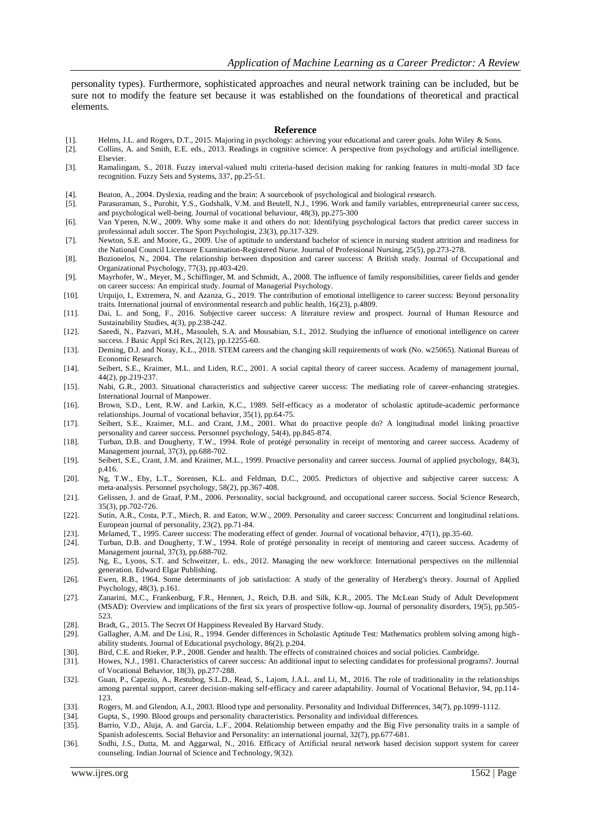personality types). Furthermore, sophisticated approaches and neural network training can be included, but be sure not to modify the feature set because it was established on the foundations of theoretical and practical elements.

#### **Reference**

- [1]. Helms, J.L. and Rogers, D.T., 2015. Majoring in psychology: achieving your educational and career goals. John Wiley & Sons.
- [2]. Collins, A. and Smith, E.E. eds., 2013. Readings in cognitive science: A perspective from psychology and artificial intelligence. Elsevier.
- [3]. Ramalingam, S., 2018. Fuzzy interval-valued multi criteria-based decision making for ranking features in multi-modal 3D face recognition. Fuzzy Sets and Systems, 337, pp.25-51.
- [4]. Beaton, A., 2004. Dyslexia, reading and the brain: A sourcebook of psychological and biological research.
- [5]. Parasuraman, S., Purohit, Y.S., Godshalk, V.M. and Beutell, N.J., 1996. Work and family variables, entrepreneurial career success, and psychological well-being. Journal of vocational behaviour, 48(3), pp.275-300
- [6]. Van Yperen, N.W., 2009. Why some make it and others do not: Identifying psychological factors that predict career success in professional adult soccer. The Sport Psychologist, 23(3), pp.317-329.
- [7]. Newton, S.E. and Moore, G., 2009. Use of aptitude to understand bachelor of science in nursing student attrition and readiness for the National Council Licensure Examination-Registered Nurse. Journal of Professional Nursing, 25(5), pp.273-278.
- [8]. Bozionelos, N., 2004. The relationship between disposition and career success: A British study. Journal of Occupational and Organizational Psychology, 77(3), pp.403-420.
- [9]. Mayrhofer, W., Meyer, M., Schiffinger, M. and Schmidt, A., 2008. The influence of family responsibilities, career fields and gender on career success: An empirical study. Journal of Managerial Psychology.
- [10]. Urquijo, I., Extremera, N. and Azanza, G., 2019. The contribution of emotional intelligence to career success: Beyond personality traits. International journal of environmental research and public health, 16(23), p.4809.
- [11]. Dai, L. and Song, F., 2016. Subjective career success: A literature review and prospect. Journal of Human Resource and Sustainability Studies, 4(3), pp.238-242.
- [12]. Saeedi, N., Pazvari, M.H., Masouleh, S.A. and Mousabian, S.I., 2012. Studying the influence of emotional intelligence on career success. J Basic Appl Sci Res, 2(12), pp.12255-60.
- [13]. Deming, D.J. and Noray, K.L., 2018. STEM careers and the changing skill requirements of work (No. w25065). National Bureau of Economic Research.
- [14]. Seibert, S.E., Kraimer, M.L. and Liden, R.C., 2001. A social capital theory of career success. Academy of management journal, 44(2), pp.219-237.
- [15]. Nabi, G.R., 2003. Situational characteristics and subjective career success: The mediating role of career-enhancing strategies. International Journal of Manpower.
- [16]. Brown, S.D., Lent, R.W. and Larkin, K.C., 1989. Self-efficacy as a moderator of scholastic aptitude-academic performance relationships. Journal of vocational behavior, 35(1), pp.64-75.
- [17]. Seibert, S.E., Kraimer, M.L. and Crant, J.M., 2001. What do proactive people do? A longitudinal model linking proactive personality and career success. Personnel psychology, 54(4), pp.845-874.
- [18]. Turban, D.B. and Dougherty, T.W., 1994. Role of protégé personality in receipt of mentoring and career success. Academy of Management journal, 37(3), pp.688-702.
- [19]. Seibert, S.E., Crant, J.M. and Kraimer, M.L., 1999. Proactive personality and career success. Journal of applied psychology, 84(3), p.416.
- [20]. Ng, T.W., Eby, L.T., Sorensen, K.L. and Feldman, D.C., 2005. Predictors of objective and subjective career success: A meta‐analysis. Personnel psychology, 58(2), pp.367-408.
- [21]. Gelissen, J. and de Graaf, P.M., 2006. Personality, social background, and occupational career success. Social Science Research, 35(3), pp.702-726.
- [22]. Sutin, A.R., Costa, P.T., Miech, R. and Eaton, W.W., 2009. Personality and career success: Concurrent and longitudinal relations. European journal of personality, 23(2), pp.71-84.
- [23]. Melamed, T., 1995. Career success: The moderating effect of gender. Journal of vocational behavior, 47(1), pp.35-60.<br>[24]. Turban, D.B. and Dougherty, T.W., 1994. Role of protégé personality in receipt of mentoring a
- Turban, D.B. and Dougherty, T.W., 1994. Role of protégé personality in receipt of mentoring and career success. Academy of Management journal, 37(3), pp.688-702.
- [25]. Ng, E., Lyons, S.T. and Schweitzer, L. eds., 2012. Managing the new workforce: International perspectives on the millennial generation. Edward Elgar Publishing.
- [26]. Ewen, R.B., 1964. Some determinants of job satisfaction: A study of the generality of Herzberg's theory. Journal of Applied Psychology, 48(3), p.161.
- [27]. Zanarini, M.C., Frankenburg, F.R., Hennen, J., Reich, D.B. and Silk, K.R., 2005. The McLean Study of Adult Development (MSAD): Overview and implications of the first six years of prospective follow-up. Journal of personality disorders, 19(5), pp.505- 523.
- 
- [28]. Bradt, G., 2015. The Secret Of Happiness Revealed By Harvard Study.<br>[29]. Gallagher, A.M. and De Lisi, R., 1994. Gender differences in Scholast [29]. Gallagher, A.M. and De Lisi, R., 1994. Gender differences in Scholastic Aptitude Test: Mathematics problem solving among highability students. Journal of Educational psychology, 86(2), p.204.
- [30]. Bird, C.E. and Rieker, P.P., 2008. Gender and health. The effects of constrained choices and social policies. Cambridge.
- [31]. Howes, N.J., 1981. Characteristics of career success: An additional input to selecting candidates for professional programs?. Journal of Vocational Behavior, 18(3), pp.277-288.
- [32]. Guan, P., Capezio, A., Restubog, S.L.D., Read, S., Lajom, J.A.L. and Li, M., 2016. The role of traditionality in the relationships among parental support, career decision-making self-efficacy and career adaptability. Journal of Vocational Behavior, 94, pp.114- 123.
- [33]. Rogers, M. and Glendon, A.I., 2003. Blood type and personality. Personality and Individual Differences, 34(7), pp.1099-1112.
- [34]. Gupta, S., 1990. Blood groups and personality characteristics. Personality and individual differences.
- [35]. Barrio, V.D., Aluja, A. and García, L.F., 2004. Relationship between empathy and the Big Five personality traits in a sample of Spanish adolescents. Social Behavior and Personality: an international journal, 32(7), pp.677-681.
- [36]. Sodhi, J.S., Dutta, M. and Aggarwal, N., 2016. Efficacy of Artificial neural network based decision support system for career counseling. Indian Journal of Science and Technology, 9(32).